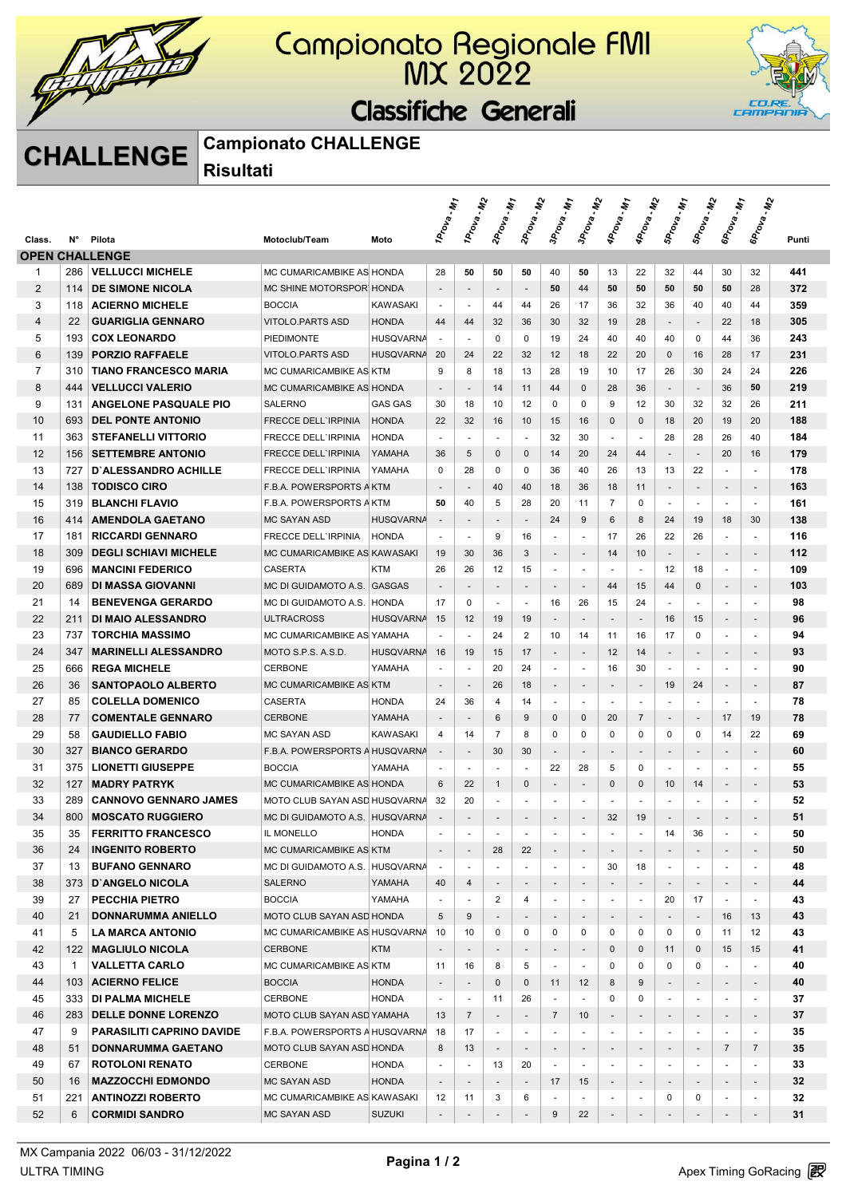

## Campionato Regionale FMI<br>MX 2022

#### Classifiche Generali



## **CHALLENGE Campionato CHALLENGE**

**Risultati** 

|                |              |                                                 |                                                       |                  | $\dot{w}$ .                   | 1 Prova - M2                   | $\mu_{\tilde{t}}$        | $\ddot{\bm{\psi}}$       | - M T                          | 3Prova - M2                    | <b>AProva</b> - M1                | <b>AProva</b> - M2            | SProva - M1              | $\ddot{\bm{\psi}}$       | -147                          | $\ddot{\bm{\psi}}$                 |          |
|----------------|--------------|-------------------------------------------------|-------------------------------------------------------|------------------|-------------------------------|--------------------------------|--------------------------|--------------------------|--------------------------------|--------------------------------|-----------------------------------|-------------------------------|--------------------------|--------------------------|-------------------------------|------------------------------------|----------|
| Class.         | N°           | Pilota                                          | Motoclub/Team                                         | Moto             | 1Prova.                       |                                | 2Prova.                  | 2Prova.                  | 3Prova.                        |                                |                                   |                               |                          | SProva.                  | 6Prova.                       | <b>SProva</b>                      | Punti    |
|                |              | <b>OPEN CHALLENGE</b>                           |                                                       |                  |                               |                                |                          |                          |                                |                                |                                   |                               |                          |                          |                               |                                    |          |
| 1              | 286          | <b>VELLUCCI MICHELE</b>                         | MC CUMARICAMBIKE AS HONDA                             |                  | 28                            | 50                             | 50                       | 50                       | 40                             | 50                             | 13                                | 22                            | 32                       | 44                       | 30                            | 32                                 | 441      |
| $\overline{2}$ | 114          | <b>DE SIMONE NICOLA</b>                         | MC SHINE MOTORSPOR HONDA                              |                  |                               |                                |                          | $\overline{\phantom{a}}$ | 50                             | 44                             | 50                                | 50                            | 50                       | 50                       | 50                            | 28                                 | 372      |
| 3              | 118          | <b>ACIERNO MICHELE</b>                          | <b>BOCCIA</b>                                         | <b>KAWASAKI</b>  | $\sim$                        | $\sim$                         | 44                       | 44                       | 26                             | 17                             | 36                                | 32                            | 36                       | 40                       | 40                            | 44                                 | 359      |
| $\overline{4}$ | 22           | <b>GUARIGLIA GENNARO</b>                        | <b>VITOLO.PARTS ASD</b>                               | <b>HONDA</b>     | 44                            | 44                             | 32                       | 36                       | 30                             | 32                             | 19                                | 28                            | $\overline{\phantom{a}}$ | $\overline{\phantom{a}}$ | 22                            | 18                                 | 305      |
| 5              | 193          | <b>COX LEONARDO</b>                             | <b>PIEDIMONTE</b>                                     | <b>HUSQVARNA</b> | $\sim$                        | $\sim$                         | $\mathbf 0$              | 0                        | 19                             | 24                             | 40                                | 40                            | 40                       | $\mathbf 0$              | 44                            | 36                                 | 243      |
| 6              | 139          | <b>PORZIO RAFFAELE</b>                          | <b>VITOLO.PARTS ASD</b>                               | <b>HUSQVARNA</b> | 20                            | 24                             | 22                       | 32                       | 12                             | 18                             | 22                                | 20                            | 0                        | 16                       | 28                            | 17                                 | 231      |
| $\overline{7}$ | 310          | <b>TIANO FRANCESCO MARIA</b>                    | MC CUMARICAMBIKE AS KTM                               |                  | 9                             | 8                              | 18                       | 13                       | 28                             | 19                             | 10                                | 17                            | 26                       | 30                       | 24                            | 24                                 | 226      |
| 8              | 444          | <b>VELLUCCI VALERIO</b>                         | MC CUMARICAMBIKE AS HONDA                             |                  | $\overline{\phantom{a}}$      | $\overline{\phantom{a}}$       | 14                       | 11                       | 44                             | $\mathbf 0$                    | 28                                | 36                            | $\overline{\phantom{a}}$ | $\overline{\phantom{a}}$ | 36                            | 50                                 | 219      |
| 9              | 131          | <b>ANGELONE PASQUALE PIO</b>                    | <b>SALERNO</b>                                        | <b>GAS GAS</b>   | 30                            | 18                             | 10                       | 12                       | 0                              | $\mathbf 0$                    | 9                                 | 12                            | 30                       | 32                       | 32                            | 26                                 | 211      |
| 10             | 693          | <b>DEL PONTE ANTONIO</b>                        | <b>FRECCE DELL'IRPINIA</b>                            | <b>HONDA</b>     | 22                            | 32                             | 16                       | 10                       | 15                             | 16                             | $\mathbf 0$                       | 0                             | 18                       | 20                       | 19                            | 20                                 | 188      |
| 11             | 363          | <b>STEFANELLI VITTORIO</b>                      | <b>FRECCE DELL'IRPINIA</b>                            | <b>HONDA</b>     | $\omega$                      | $\sim$                         | ÷.                       | $\blacksquare$           | 32                             | 30                             | $\sim$                            | ÷.                            | 28                       | 28                       | 26                            | 40                                 | 184      |
| 12             | 156          | <b>SETTEMBRE ANTONIO</b>                        | <b>FRECCE DELL'IRPINIA</b>                            | YAMAHA           | 36                            | 5                              | $\mathbf{0}$             | 0                        | 14                             | 20                             | 24                                | 44                            | $\overline{\phantom{a}}$ | $\overline{\phantom{a}}$ | 20                            | 16                                 | 179      |
| 13             | 727          | <b>D'ALESSANDRO ACHILLE</b>                     | <b>FRECCE DELL'IRPINIA</b>                            | YAMAHA           | 0                             | 28                             | 0                        | 0                        | 36                             | 40                             | 26                                | 13                            | 13                       | 22                       | ÷.                            | $\sim$                             | 178      |
| 14             | 138          | <b>TODISCO CIRO</b>                             | F.B.A. POWERSPORTS A KTM                              |                  | $\overline{\phantom{a}}$      | $\overline{\phantom{a}}$       | 40                       | 40                       | 18                             | 36                             | 18                                | 11                            | $\overline{\phantom{a}}$ | $\overline{\phantom{a}}$ | $\overline{\phantom{a}}$      | $\overline{\phantom{a}}$           | 163      |
| 15             | 319          | <b>BLANCHI FLAVIO</b>                           | F.B.A. POWERSPORTS A KTM                              |                  | 50                            | 40                             | 5                        | 28                       | 20                             | 11                             | 7                                 | 0                             | $\overline{\phantom{a}}$ | $\sim$                   | $\blacksquare$                | $\blacksquare$                     | 161      |
| 16             | 414          | <b>AMENDOLA GAETANO</b>                         | <b>MC SAYAN ASD</b>                                   | <b>HUSQVARNA</b> | $\overline{\phantom{a}}$      | $\overline{\phantom{a}}$       | $\overline{\phantom{a}}$ | $\overline{\phantom{a}}$ | 24                             | 9                              | 6                                 | 8                             | 24                       | 19                       | 18                            | 30                                 | 138      |
| 17             | 181          | <b>RICCARDI GENNARO</b>                         | <b>FRECCE DELL'IRPINIA</b>                            | <b>HONDA</b>     | $\sim$                        | ÷.                             | 9                        | 16                       |                                | ÷.                             | 17                                | 26                            | 22                       | 26                       | ä,                            | $\sim$                             | 116      |
| 18             | 309          | <b>DEGLI SCHIAVI MICHELE</b>                    | MC CUMARICAMBIKE AS KAWASAKI                          |                  | 19                            | 30                             | 36                       | 3                        |                                | $\overline{\phantom{a}}$       | 14                                | 10                            |                          |                          |                               |                                    | 112      |
| 19             | 696          | <b>MANCINI FEDERICO</b>                         | <b>CASERTA</b>                                        | <b>KTM</b>       | 26                            | 26                             | 12                       | 15                       | $\overline{\phantom{a}}$       | $\blacksquare$                 | $\overline{\phantom{a}}$          | $\sim$                        | 12                       | 18                       | ٠                             | $\blacksquare$                     | 109      |
| 20             | 689          | DI MASSA GIOVANNI                               | MC DI GUIDAMOTO A.S. GASGAS                           |                  | $\overline{\phantom{a}}$      |                                | $\overline{\phantom{a}}$ | $\overline{\phantom{a}}$ | $\overline{\phantom{a}}$       | $\overline{\phantom{a}}$       | 44                                | 15                            | 44                       | $\mathbf{0}$             | ٠                             | $\overline{\phantom{a}}$           | 103      |
| 21             | 14           | <b>BENEVENGA GERARDO</b>                        | MC DI GUIDAMOTO A.S. HONDA                            |                  | 17                            | $\mathbf 0$                    | $\sim$                   | $\blacksquare$           | 16                             | 26                             | 15                                | 24                            | ÷.                       | $\sim$                   | ÷.                            | $\sim$                             | 98       |
| 22             | 211          | DI MAIO ALESSANDRO                              | ULTRACROSS                                            | <b>HUSQVARNA</b> | 15                            | 12                             | 19                       | 19                       | $\overline{\phantom{a}}$       | $\overline{\phantom{a}}$       |                                   | $\overline{\phantom{a}}$      | 16                       | 15                       | $\overline{\phantom{a}}$      | $\overline{\phantom{a}}$           | 96       |
| 23             | 737          | <b>TORCHIA MASSIMO</b>                          | MC CUMARICAMBIKE AS YAMAHA                            |                  |                               | $\overline{\phantom{a}}$       | 24                       | 2                        | 10                             | 14                             | 11                                | 16                            | 17                       | 0                        | ٠                             | $\overline{\phantom{a}}$           | 94       |
| 24             | 347          | <b>MARINELLI ALESSANDRO</b>                     | MOTO S.P.S. A.S.D.                                    | <b>HUSQVARNA</b> | 16                            | 19                             | 15                       | 17                       | $\overline{\phantom{a}}$       | $\overline{\phantom{a}}$       | 12                                | 14                            | $\overline{\phantom{a}}$ | $\overline{\phantom{a}}$ | $\overline{\phantom{a}}$      | $\overline{\phantom{a}}$           | 93       |
| 25             | 666          | <b>REGA MICHELE</b>                             | <b>CERBONE</b>                                        | YAMAHA           | $\overline{\phantom{a}}$      | ÷,                             | 20                       | 24                       | ÷.                             | ä,                             | 16                                | 30                            | ÷.                       | ÷.                       | ä,                            | $\sim$                             | 90       |
| 26             | 36           | <b>SANTOPAOLO ALBERTO</b>                       | MC CUMARICAMBIKE AS KTM                               |                  | $\overline{\phantom{a}}$      |                                | 26                       | 18                       |                                | $\overline{\phantom{a}}$       |                                   | $\overline{\phantom{a}}$      | 19                       | 24                       | ٠                             | $\overline{\phantom{a}}$           | 87       |
| 27             | 85           | <b>COLELLA DOMENICO</b>                         | CASERTA                                               | <b>HONDA</b>     | 24                            | 36                             | 4                        | 14                       | $\blacksquare$                 | $\sim$                         | $\sim$                            | ÷.                            | $\ddot{\phantom{1}}$     | $\sim$                   | $\sim$                        | $\overline{\phantom{a}}$           | 78       |
| 28<br>29       | 77           | <b>COMENTALE GENNARO</b>                        | <b>CERBONE</b>                                        | YAMAHA           | $\overline{\phantom{a}}$      | $\overline{\phantom{a}}$       | 6<br>$\overline{7}$      | 9                        | $\mathbf 0$                    | $\mathbf{0}$                   | 20                                | $\overline{7}$<br>0           | $\blacksquare$<br>0      | $\overline{\phantom{a}}$ | 17                            | 19                                 | 78       |
| 30             | 58<br>327    | <b>GAUDIELLO FABIO</b><br><b>BIANCO GERARDO</b> | <b>MC SAYAN ASD</b><br>F.B.A. POWERSPORTS A HUSQVARNA | <b>KAWASAKI</b>  | 4<br>$\overline{\phantom{a}}$ | 14<br>$\overline{\phantom{a}}$ | 30                       | 8<br>30                  | 0                              | 0                              | 0                                 |                               | $\overline{\phantom{a}}$ | 0                        | 14                            | 22                                 | 69<br>60 |
| 31             | 375          | <b>LIONETTI GIUSEPPE</b>                        | <b>BOCCIA</b>                                         | YAMAHA           | ÷.                            | $\sim$                         | $\overline{\phantom{a}}$ | ٠                        | $\overline{\phantom{a}}$<br>22 | $\overline{\phantom{a}}$<br>28 | $\qquad \qquad \blacksquare$<br>5 | $\overline{\phantom{a}}$<br>0 | $\overline{\phantom{a}}$ | $\overline{\phantom{a}}$ | $\overline{\phantom{a}}$<br>٠ | $\overline{\phantom{a}}$<br>$\sim$ | 55       |
| 32             | 127          | <b>MADRY PATRYK</b>                             | MC CUMARICAMBIKE AS HONDA                             |                  | 6                             | 22                             | $\mathbf{1}$             | $\mathbf{0}$             |                                | $\overline{\phantom{a}}$       | $\Omega$                          | $\mathbf{0}$                  | 10                       | 14                       | ٠                             |                                    | 53       |
| 33             | 289          | <b>CANNOVO GENNARO JAMES</b>                    | MOTO CLUB SAYAN ASD HUSQVARNA                         |                  | 32                            | 20                             | ä,                       |                          |                                | $\overline{a}$                 |                                   |                               |                          | $\blacksquare$           | ٠                             | $\blacksquare$                     | 52       |
| 34             | 800          | <b>MOSCATO RUGGIERO</b>                         | MC DI GUIDAMOTO A.S. HUSQVARNA                        |                  |                               |                                |                          |                          |                                | $\overline{a}$                 | 32                                | 19                            |                          |                          |                               |                                    | 51       |
| 35             | 35           | <b>FERRITTO FRANCESCO</b>                       | IL MONELLO                                            | <b>HONDA</b>     |                               |                                |                          |                          |                                |                                |                                   | $\sim$                        | 14                       | 36                       |                               | $\sim$                             | 50       |
| 36             | 24           | <b>INGENITO ROBERTO</b>                         | MC CUMARICAMBIKE AS KTM                               |                  | $\overline{\phantom{a}}$      |                                | 28                       | 22                       |                                | $\overline{\phantom{a}}$       |                                   | $\overline{\phantom{a}}$      |                          |                          | $\blacksquare$                |                                    | 50       |
| 37             | 13           | <b>BUFANO GENNARO</b>                           | MC DI GUIDAMOTO A.S. HUSQVARNA                        |                  | $\sim$                        | $\overline{a}$                 |                          |                          | $\overline{\phantom{a}}$       | $\blacksquare$                 | 30                                | 18                            |                          |                          |                               | $\blacksquare$                     | 48       |
| 38             | 373          | <b>D'ANGELO NICOLA</b>                          | <b>SALERNO</b>                                        | YAMAHA           | 40                            | 4                              | $\overline{\phantom{a}}$ | $\overline{\phantom{a}}$ |                                | $\overline{\phantom{a}}$       |                                   | $\overline{\phantom{a}}$      | $\overline{\phantom{a}}$ | $\overline{\phantom{a}}$ | $\overline{\phantom{a}}$      | $\overline{\phantom{a}}$           | 44       |
| 39             | 27           | <b>PECCHIA PIETRO</b>                           | <b>BOCCIA</b>                                         | YAMAHA           | $\blacksquare$                | ÷.                             | $\overline{2}$           | 4                        |                                | $\sim$                         |                                   | $\blacksquare$                | 20                       | 17                       |                               | $\blacksquare$                     | 43       |
| 40             | 21           | <b>DONNARUMMA ANIELLO</b>                       | MOTO CLUB SAYAN ASD HONDA                             |                  | 5                             | 9                              | $\overline{\phantom{a}}$ | $\overline{\phantom{a}}$ | $\overline{\phantom{a}}$       | $\overline{\phantom{a}}$       | ÷                                 | $\overline{\phantom{a}}$      |                          | $\overline{\phantom{a}}$ | 16                            | 13                                 | 43       |
| 41             | 5            | <b>LA MARCA ANTONIO</b>                         | MC CUMARICAMBIKE AS HUSQVARNA                         |                  | 10                            | 10                             | 0                        | 0                        | 0                              | 0                              | 0                                 | 0                             | 0                        | 0                        | 11                            | 12                                 | 43       |
| 42             | 122          | MAGLIULO NICOLA                                 | <b>CERBONE</b>                                        | <b>KTM</b>       | $\overline{\phantom{a}}$      | $\sim$                         | $\overline{\phantom{a}}$ | $\overline{\phantom{a}}$ | $\overline{\phantom{a}}$       | $\overline{\phantom{a}}$       | 0                                 | $\mathbf 0$                   | 11                       | $\mathbf 0$              | 15                            | 15                                 | 41       |
| 43             | $\mathbf{1}$ | <b>VALLETTA CARLO</b>                           | MC CUMARICAMBIKE AS KTM                               |                  | 11                            | 16                             | 8                        | 5                        | ÷.                             | $\omega$                       | 0                                 | 0                             | 0                        | 0                        | ÷.                            | $\blacksquare$                     | 40       |
| 44             | 103          | <b>ACIERNO FELICE</b>                           | <b>BOCCIA</b>                                         | <b>HONDA</b>     | $\overline{\phantom{a}}$      | $\overline{\phantom{a}}$       | $\mathbf{0}$             | 0                        | 11                             | 12                             | 8                                 | 9                             | $\overline{\phantom{a}}$ |                          | $\overline{\phantom{a}}$      |                                    | 40       |
| 45             | 333          | <b>DI PALMA MICHELE</b>                         | <b>CERBONE</b>                                        | <b>HONDA</b>     | $\blacksquare$                | $\blacksquare$                 | 11                       | 26                       | $\sim$                         |                                | 0                                 | 0                             | $\blacksquare$           |                          | ٠                             | $\overline{\phantom{a}}$           | 37       |
| 46             | 283          | <b>DELLE DONNE LORENZO</b>                      | MOTO CLUB SAYAN ASD YAMAHA                            |                  | 13                            | $\overline{7}$                 | $\overline{\phantom{a}}$ | $\overline{\phantom{a}}$ | $\overline{7}$                 | 10                             | $\overline{\phantom{a}}$          | $\overline{\phantom{a}}$      | $\overline{\phantom{a}}$ | $\overline{\phantom{a}}$ | $\overline{\phantom{a}}$      | $\overline{\phantom{a}}$           | 37       |
| 47             | 9            | <b>PARASILITI CAPRINO DAVIDE</b>                | F.B.A. POWERSPORTS A HUSQVARNA                        |                  | 18                            | 17                             |                          | $\overline{\phantom{a}}$ |                                |                                |                                   | $\sim$                        | $\sim$                   |                          | ٠                             | $\blacksquare$                     | 35       |
| 48             | 51           | DONNARUMMA GAETANO                              | MOTO CLUB SAYAN ASD HONDA                             |                  | 8                             | 13                             | $\overline{\phantom{a}}$ | $\overline{\phantom{a}}$ | $\overline{\phantom{a}}$       | $\overline{\phantom{a}}$       |                                   | $\overline{\phantom{a}}$      | $\overline{\phantom{a}}$ | $\overline{\phantom{a}}$ | $\overline{7}$                | $\overline{7}$                     | 35       |
| 49             | 67           | <b>ROTOLONI RENATO</b>                          | CERBONE                                               | <b>HONDA</b>     | $\blacksquare$                |                                | 13                       | 20                       |                                | $\overline{\phantom{a}}$       |                                   | $\blacksquare$                |                          |                          |                               | $\overline{\phantom{a}}$           | 33       |
| 50             | 16           | <b>MAZZOCCHI EDMONDO</b>                        | <b>MC SAYAN ASD</b>                                   | <b>HONDA</b>     | $\overline{\phantom{a}}$      |                                |                          |                          | 17                             | 15                             | ٠                                 | $\overline{\phantom{a}}$      |                          | $\overline{\phantom{a}}$ | ۰.                            |                                    | 32       |
| 51             | 221          | <b>ANTINOZZI ROBERTO</b>                        | MC CUMARICAMBIKE AS KAWASAKI                          |                  | 12                            | 11                             | 3                        | 6                        |                                | $\blacksquare$                 | ٠                                 | $\overline{\phantom{a}}$      | 0                        | 0                        | ٠                             | $\overline{\phantom{a}}$           | 32       |
| 52             | 6            | <b>CORMIDI SANDRO</b>                           | <b>MC SAYAN ASD</b>                                   | <b>SUZUKI</b>    | $\overline{\phantom{a}}$      | $\overline{\phantom{a}}$       | $\overline{\phantom{a}}$ | $\overline{\phantom{a}}$ | 9                              | 22                             | $\overline{\phantom{a}}$          | $\overline{\phantom{a}}$      |                          | $\overline{\phantom{a}}$ | $\overline{\phantom{a}}$      | $\overline{\phantom{a}}$           | 31       |